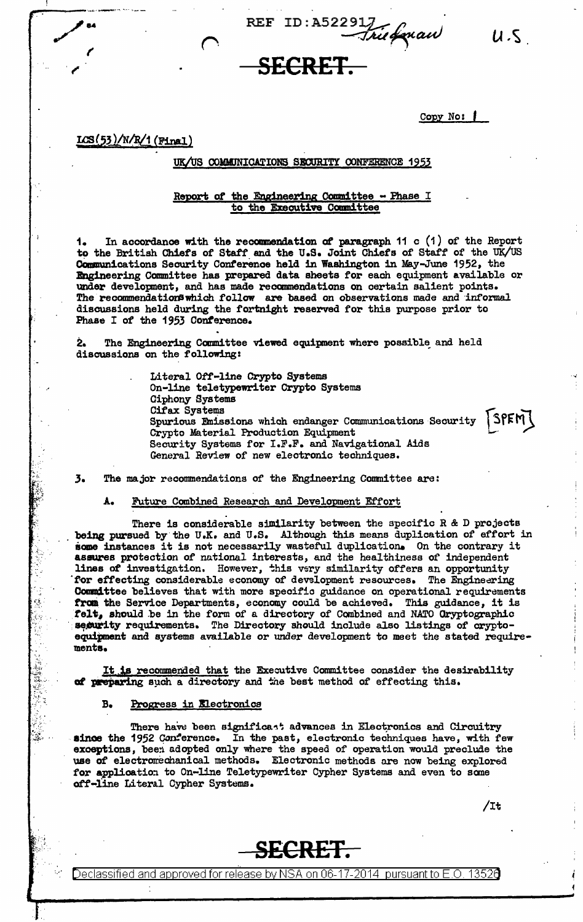$U.S$ 

## **SECRET.**

REF ID: A522917

Copy No:  $\vert$ 

 $LCS(53)/N/R/1$  (Final)

#### UK/US COMMUNICATIONS SECURITY CONFERENCE 1953

#### Report of the Engineering Committee - Phase I to the Executive Committee

In accordance with the recommendation of paragraph 11  $\circ$  (1) of the Report to the British Chiefs of Staff and the U.S. Joint Chiefs of Staff of the UK/US Communications Security Conference held in Washington in May-June 1952, the Engineering Committee has prepared data sheets for each equipment available or under development, and has made recommendations on certain salient points. The recommendations which follow are based on observations made and informal discussions held during the fortnight reserved for this purpose prior to Phase I of the 1953 Conference.

The Engineering Committee viewed equipment where possible and held discussions on the following:

> Literal Off-line Crypto Systems On-line teletypewriter Crypto Systems Ciphony Systems Cifax Systems **SPEMT** Spurious Emissions which endanger Communications Security Crypto Material Production Equipment Security Systems for I.F.F. and Navigational Aids General Review of new electronic techniques.

 $3.$ The major recommendations of the Engineering Committee are:

 $\Lambda$ . Future Combined Research and Development Effort

There is considerable similarity between the specific R & D projects<br>being pursued by the U.K. and U.S. Although this means duplication of effort in some instances it is not necessarily wasteful duplication. On the contrary it assures protection of national interests, and the healthiness of independent lines of investigation. However, this very similarity offers an opportunity for effecting considerable economy of development resources. The Engineering Committee believes that with more specific guidance on operational requirements from the Service Departments, economy could be achieved. This guidance, it is felt, should be in the form of a directory of Combined and NATO Oryptographic security requirements. The Directory should include also listings of cryptoequipment and systems available or under development to meet the stated requirements.

It is recommended that the Executive Committee consider the desirability of preparing such a directory and the best method of effecting this.

#### Progress in **Riectronics**  $B<sub>o</sub>$

There have been significant advances in Electronics and Circuitry since the 1952 Conference. In the past, electronic techniques have, with few exceptions, been adopted only where the speed of operation would preclude the use of electromechanical methods. Electronic methods are now being explored for application to On-line Teletypewriter Cypher Systems and even to some off-line Literal Cypher Systems.

/It



Declassified and approved for release by NSA on 06-17-2014  $\,$  pursuant to E  $\,$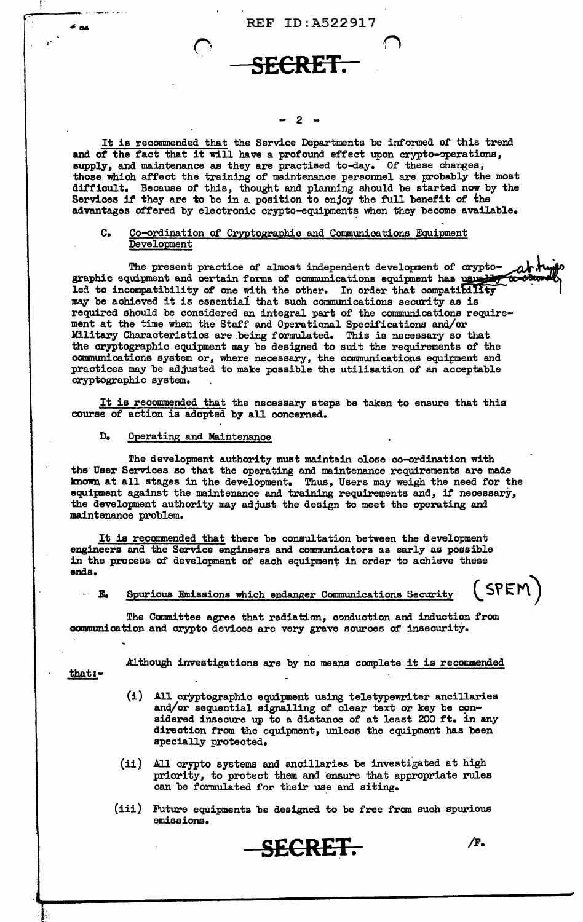REF ID: A522917

# ' **SECRET.**

## - 2 -

It is recommended that the Service Departments be informed of this trend and of the fact that it will have a profound effect upon crypto-operations, supply, and maintenance as they are practised to-day. Of these changes, those which affect the training of maintenance personnel are probably the most difficult. Because of this, thought and planning should be started now by the Services it they are to be in a position to enjoy the full benefit of the advantages offered by electronic crypto-equipments when they become available.

#### C. Co-ordination of Cryptographic and Communications Equipment Development

The present practice of almost independent development of crypto-graphic equipment and certain forms of communications equipment has usually led to incompatibility of one with the other. In order that compatibility may be achieved it is essential that such communications security as is required should be considered an integral part of the communications requirement at the time when the Staff and Operational Specifications and/or Military Characteristics are being formulated. This is necessary so that the cryptographic equipment may be designed to suit the requirements of the communications system or, where necessary, the communications equipment and practices may be adjusted to make possible the utilisation of an acceptable cryptographic system.

It is recommended that the necessary steps be taken to ensure that this course of action is adopted by all concerned.

## D. Operating and Maintenance

 $\overline{\bigcirc}$ 

The development authority must maintain close co-ordination with the User Services so that the operating and maintenance requirements are made known at all stages in the development. Thus, Users may weigh the need for the equipnent against the maintenance and training requirements and, it necessary, the development authority may adjust the design to meet the operating and maintenance problem.

It is recommended that there be consultation between the development engineers and the Service engineers and communicators as early as possible in the process of development of each equipment in order to achieve these ends.

### E. Spurious Emissions which endanger Communications Security

The Committee agree that radiation, conduction and induction from oommunication and crypto devices are very grave sources of insecurity.

Although investigations are by no means complete it is recommended

that:-

- (i) All crY,ptographic equipment using teletypewriter ancillaries and/or sequential signalling of clear text or key be considered insecure up to a distance of at least 200 ft. in any direction from the equipment, unless the equipment has been specially protected.
- (ii) All crypto systems and ancillaries be investigated at high priority, to protect them and ensure that appropriate rules can be formulated for their use and siting.
- (iii) Future equipments be designed to be free from such spurious emissions.

**SECRET.** /F.

(SPEM